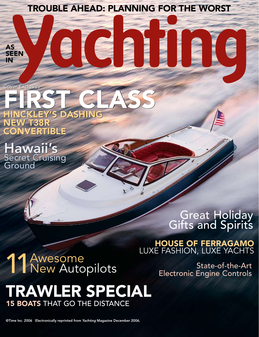trouble ahead: planning for the worst

Cover Exclusive Cover Exclusive

AS SEEN IN

#### FIRST CLASS Hinckley's dashing FIRST CLASS Hinckley's dashing

new T38R new T38R Convertible Convertible

Hawaii's Hawaii's Secret Cruising Ground

## Great Holiday<br>Gifts and Spirits

#### **HOUSE OF FERRAGAMO**<br>LUXE FASHION, LUXE YACHTS

# Secret Cruising<br>Ground<br>11 Awesol<br>11 Awesol

### LUXE FASHION, LUXE YACHTS<br>Awesome

New Autopilots<br>Electronic Engine Controls Electronic Engine Controls

#### Trawler Special **15 BOATS THAT GO THE DISTANCE**

©Time Inc. 2006 Electronically reprinted from *Yachting* Magazine December 2006.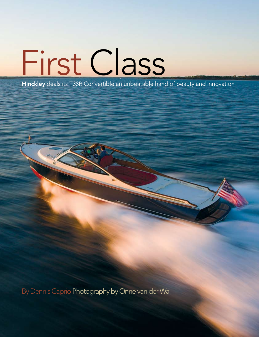# First Class

Hinckley deals its T38R Convertible an unbeatable hand of beauty and innovation

By Dennis Caprio Photography by Onne van der Wal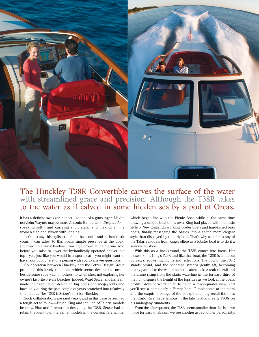

#### The Hinckley T38R Convertible carves the surface of the water with streamlined grace and precision. Although the T38R takes to the water as if calved in some hidden sea by a pod of Orcas,

it has a definite swagger, almost like that of a gunslinger. Maybe not John Wayne, maybe more Antonio Banderas in *Desperado* speaking softly and carrying a big stick, and making all the women sigh and swoon with longing.

Let's just say this stylish runabout has soul—and it should stir yours. I can attest to this boat's simple presence at the dock, snuggled up against fenders, drawing a crowd at the marina. And before you raise or lower the hydraulically operated convertible top—yes, just like you would in a sports car—you might want to have your public relations person with you to answer questions.

Collaboration between Hinckley and the Setzer Design Group produced this lovely runabout, which seems destined to nestle beside some superyacht mothership when she's not exploring her owner's favorite private beaches. Indeed, Ward Setzer and his team made their reputation designing big boats and megayachts and have only during the past couple of years branched into relatively small boats. The T38R is Setzer's first for Hinckley.

Such collaborations are rarely easy, and in this case Setzer had a tough act to follow—Bruce King and the line of Talaria models he drew. First and foremost in designing the T38R, Setzer had to retain the identity of the earlier models in the current Talaria line,

which began life with the Picnic Boat, while at the same time drawing a unique boat of his own. King had played with the basic style of New England's working lobster boats and hard-fished bass boats, finally massaging the basics into a softer, more elegant style than displayed by the originals. That's why to refer to any of the Talaria models from King's office as a lobster boat is to do it a serious injustice.

With this as a background, the T38R comes into focus. Her closest kin is King's T29R and like that boat, the T38R is all about curves, shadows, highlights and reflections. The bow of the T38R stands proud, and the sheerline sweeps gently aft, becoming nearly parallel to the waterline at the afterdeck. A teak caprail and the chine rising from the static waterline in the forward third of the hull disguise the height of the topsides as we look at the boat's profile. Move forward or aft to catch a three-quarter view, and you'll see a completely different boat. Tumblehome at the stern and the exquisite plunge of the cockpit coaming recall the lines that Carlo Riva made famous in the late 1950 and early 1960s on his mahogany runabouts.

From the after quarter, the T38R seems smaller than she is. If we move forward of abeam, we see another aspect of her personality.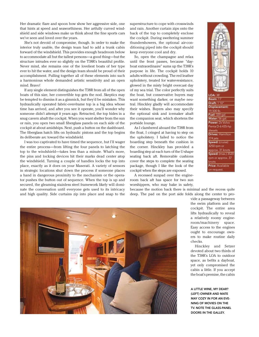Her dramatic flare and spoon bow show her aggressive side, one that hints at speed and seaworthiness. Her artfully curved windshield and side windows make us think about the fine sports cars we've seen and loved over the years.

She's not devoid of compromise, though. In order to make the interior truly usable, the design team had to add a trunk cabin forward of the windshield. This provides enough headroom below to accommodate all but the tallest persons—a good thing—but the structure intrudes ever so slightly on the T38R's beautiful profile. Never mind, she remains one of the loveliest boats of her type ever to hit the water, and the design team should be proud of their accomplishment. Pulling together all of these elements into such a harmonious whole demanded artistic sensitivity and an open mind. Bravo!

If any single element distinguishes the T38R from all of the open boats of this size, her convertible top gets the nod. Skeptics may be tempted to dismiss it as a gimmick, but they'd be mistaken. This hydraulically operated fabric-over-frame top is a big idea whose time has arrived, and after you see it operate, you'll wonder why someone didn't attempt it years ago. Retracted, the top hides in a snug cavern abaft the cockpit. When you want shelter from the sun or rain, you open two small fiberglass panels on each side of the cockpit at about amidships. Next, push a button on the dashboard. The fiberglass hatch lifts on hydraulic pistons and the top begins its deliberate arc toward the windshield.

I was too captivated to have timed the sequence, but I'll wager the entire process—from lifting the four panels to latching the top to the windshield—takes less than a minute. What's more, the pins and locking devices hit their marks dead center atop the windshield. Turning a couple of handles locks the top into place, exactly as it does on your Maserati. A variety of sensors in strategic locations shut down the process if someone places a hand in dangerous proximity to the mechanism or the operator pushes the button out of sequence. When the top is up and secured, the gleaming stainless steel framework likely will dominate the conversation until everyone gets used to its intricacy and high quality. Side curtains zip into place and snap to the superstructure to cope with crosswinds and rain. Another curtain zips onto the back of the top to completely enclose the cockpit. During sweltering summer thundershowers, the optional air-conditioning piped into the cockpit should keep everyone cool and dry.

So, open the champagne and relax until the front passes, because "dayboat extraordinaire" sums up the T38R's purpose in life. The cockpit holds 10 adults without crowding. The red leather upholstery, treated for water-resistance, glowed in the misty bright overcast day of my sea trial. The color perfectly suits the boat, but conservative buyers may want something darker, or maybe neutral. Hinckley gladly will accommodate their wishes. Buyers also may specify the optional sink and icemaker abaft the companion seat, which shortens the portside lounge.

As I clambered aboard the T38R from the float, I cringed at having to step on the upholstery. I failed to notice the boarding step beneath the cushion in the corner. Hinckley has provided a boarding step at each turn of the U-shape seating back aft. Removable cushions cover the steps to complete the seating package, though I like the look of the cockpit when the steps are exposed.

A recessed sunpad over the engineroom back aft has space for two sun worshippers, who may bake in safety,

because the motion back there is minimal and the recess quite deep. The pad on the port side folds along the center to pro-



vide a passageway between the swim platform and the cockpit. The entire area lifts hydraulically to reveal a relatively roomy engineroom/machinery space. Easy access to the engines ought to encourage owners to make routine daily checks.

Hinckley and Setzer devoted about two thirds of the T38R's LOA to outdoor space, as befits a dayboat, yet only compromised the cabin a little. If you accept the boat's premise, the cabin

a little wine, my dear? (left) Owner and mate may cozy in for an evening of movies on the TV. Note the glass-panel doors in the galley.

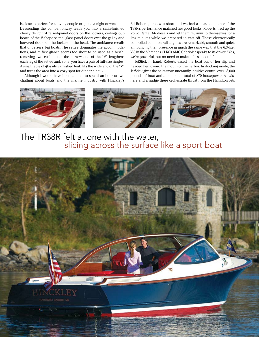is close to perfect for a loving couple to spend a night or weekend. Descending the companionway leads you into a satin-finished cherry delight of raised-panel doors on the lockers, ceilings outboard of the V-shape settee, glass-panel doors over the galley and louvered doors on the lockers in the head. The ambiance recalls that of Setzer's big boats. The settee dominates the accommodations, and at first glance seems too short to be used as a berth; removing two cushions at the narrow end of the "V" lengthens each leg of the settee and, voila, you have a pair of full-size singles. A small table of glossily varnished teak fills the wide end of the "V" and turns the area into a cozy spot for dinner a deux.

Although I would have been content to spend an hour or two chatting about boats and the marine industry with Hinckley's Ed Roberts, time was short and we had a mission—to see if the T38R's performance matched her good looks. Roberts fired up the Volvo Penta D-6 diesels and let them murmur to themselves for a few minutes while we prepared to cast off. These electronically controlled common-rail engines are remarkably smooth and quiet, announcing their presence in much the same way that the 6.3-liter V-8 in the Mercedes CLK63 AMG Cabriolet speaks to its driver. "Yes, we're powerful, but no need to make a fuss about it."

JetStick in hand, Roberts eased the boat out of her slip and headed her toward the mouth of the harbor. In docking mode, the JetStick gives the helmsman uncannily intuitive control over 18,000 pounds of boat and a combined total of 870 horsepower. A twist here and a nudge there orchestrate thrust from the Hamilton Jets



The TR38R felt at one with the water, slicing across the surface like a sport boat